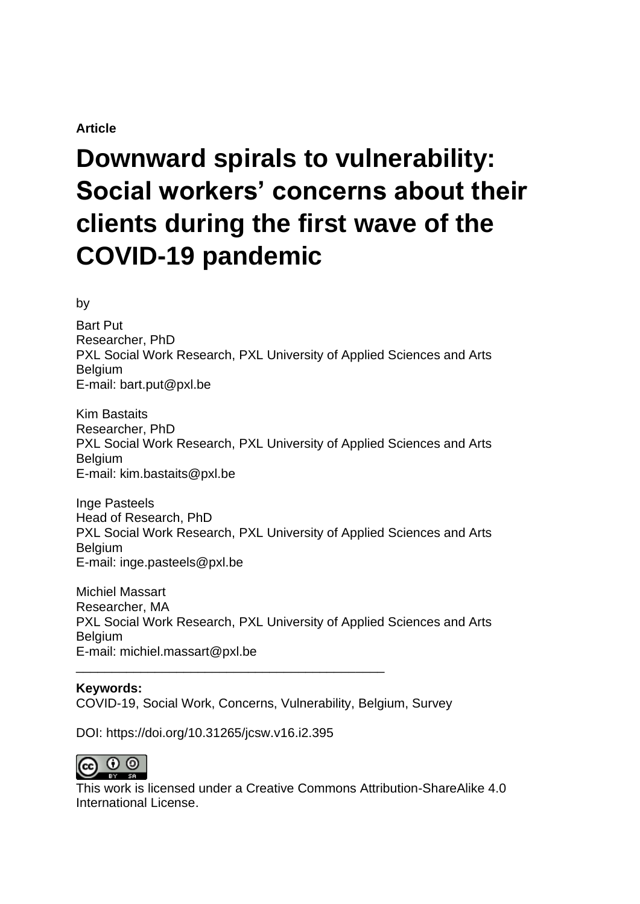# **Article**

# **Downward spirals to vulnerability: Social workers' concerns about their clients during the first wave of the COVID-19 pandemic**

by

Bart Put Researcher, PhD PXL Social Work Research, PXL University of Applied Sciences and Arts Belgium E-mail: bart.put@pxl.be

Kim Bastaits Researcher, PhD PXL Social Work Research, PXL University of Applied Sciences and Arts Belgium E-mail: kim.bastaits@pxl.be

Inge Pasteels Head of Research, PhD PXL Social Work Research, PXL University of Applied Sciences and Arts **Belgium** E-mail: inge.pasteels@pxl.be

Michiel Massart Researcher, MA PXL Social Work Research, PXL University of Applied Sciences and Arts Belgium E-mail: michiel.massart@pxl.be \_\_\_\_\_\_\_\_\_\_\_\_\_\_\_\_\_\_\_\_\_\_\_\_\_\_\_\_\_\_\_\_\_\_\_\_\_\_\_\_\_\_\_

**Keywords:** COVID-19, Social Work, Concerns, Vulnerability, Belgium, Survey

DOI: https://doi.org/10.31265/jcsw.v16.i2.395



This work is licensed under a Creative Commons Attribution-ShareAlike 4.0 International License.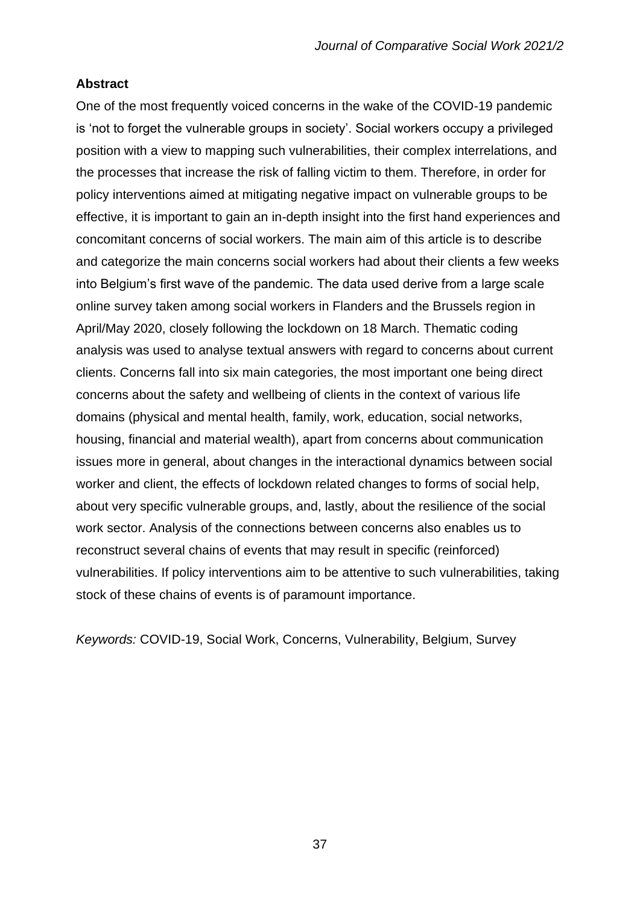## **Abstract**

One of the most frequently voiced concerns in the wake of the COVID-19 pandemic is 'not to forget the vulnerable groups in society'. Social workers occupy a privileged position with a view to mapping such vulnerabilities, their complex interrelations, and the processes that increase the risk of falling victim to them. Therefore, in order for policy interventions aimed at mitigating negative impact on vulnerable groups to be effective, it is important to gain an in-depth insight into the first hand experiences and concomitant concerns of social workers. The main aim of this article is to describe and categorize the main concerns social workers had about their clients a few weeks into Belgium's first wave of the pandemic. The data used derive from a large scale online survey taken among social workers in Flanders and the Brussels region in April/May 2020, closely following the lockdown on 18 March. Thematic coding analysis was used to analyse textual answers with regard to concerns about current clients. Concerns fall into six main categories, the most important one being direct concerns about the safety and wellbeing of clients in the context of various life domains (physical and mental health, family, work, education, social networks, housing, financial and material wealth), apart from concerns about communication issues more in general, about changes in the interactional dynamics between social worker and client, the effects of lockdown related changes to forms of social help, about very specific vulnerable groups, and, lastly, about the resilience of the social work sector. Analysis of the connections between concerns also enables us to reconstruct several chains of events that may result in specific (reinforced) vulnerabilities. If policy interventions aim to be attentive to such vulnerabilities, taking stock of these chains of events is of paramount importance.

*Keywords:* COVID-19, Social Work, Concerns, Vulnerability, Belgium, Survey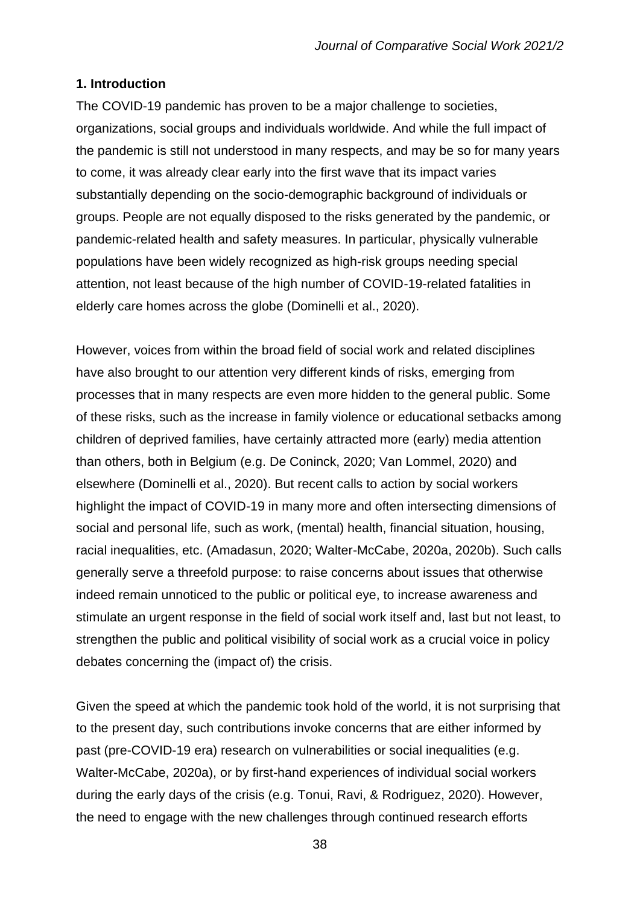# **1. Introduction**

The COVID-19 pandemic has proven to be a major challenge to societies, organizations, social groups and individuals worldwide. And while the full impact of the pandemic is still not understood in many respects, and may be so for many years to come, it was already clear early into the first wave that its impact varies substantially depending on the socio-demographic background of individuals or groups. People are not equally disposed to the risks generated by the pandemic, or pandemic-related health and safety measures. In particular, physically vulnerable populations have been widely recognized as high-risk groups needing special attention, not least because of the high number of COVID-19-related fatalities in elderly care homes across the globe (Dominelli et al., 2020).

However, voices from within the broad field of social work and related disciplines have also brought to our attention very different kinds of risks, emerging from processes that in many respects are even more hidden to the general public. Some of these risks, such as the increase in family violence or educational setbacks among children of deprived families, have certainly attracted more (early) media attention than others, both in Belgium (e.g. De Coninck, 2020; Van Lommel, 2020) and elsewhere (Dominelli et al., 2020). But recent calls to action by social workers highlight the impact of COVID-19 in many more and often intersecting dimensions of social and personal life, such as work, (mental) health, financial situation, housing, racial inequalities, etc. (Amadasun, 2020; Walter-McCabe, 2020a, 2020b). Such calls generally serve a threefold purpose: to raise concerns about issues that otherwise indeed remain unnoticed to the public or political eye, to increase awareness and stimulate an urgent response in the field of social work itself and, last but not least, to strengthen the public and political visibility of social work as a crucial voice in policy debates concerning the (impact of) the crisis.

Given the speed at which the pandemic took hold of the world, it is not surprising that to the present day, such contributions invoke concerns that are either informed by past (pre-COVID-19 era) research on vulnerabilities or social inequalities (e.g. Walter-McCabe, 2020a), or by first-hand experiences of individual social workers during the early days of the crisis (e.g. Tonui, Ravi, & Rodriguez, 2020). However, the need to engage with the new challenges through continued research efforts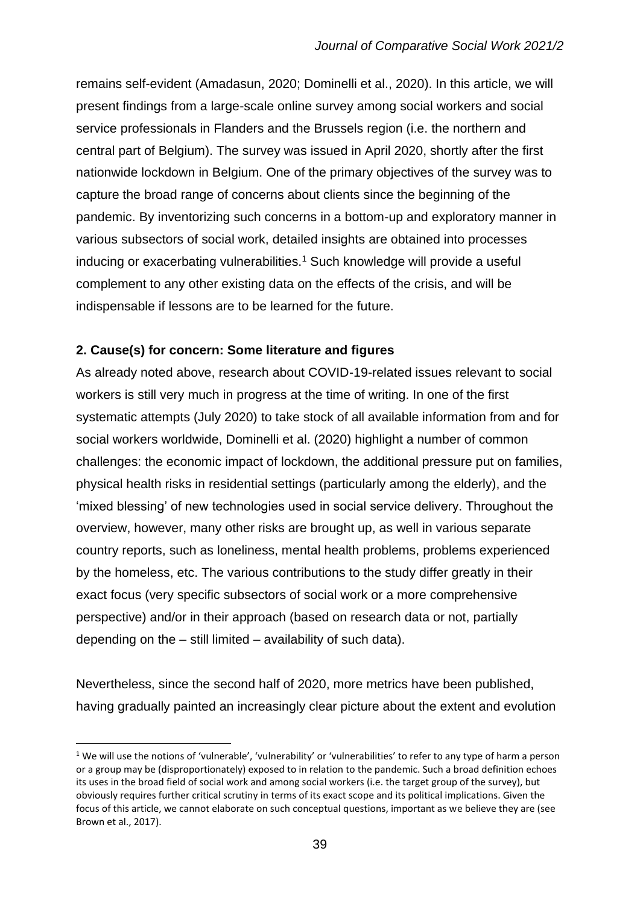remains self-evident (Amadasun, 2020; Dominelli et al., 2020). In this article, we will present findings from a large-scale online survey among social workers and social service professionals in Flanders and the Brussels region (i.e. the northern and central part of Belgium). The survey was issued in April 2020, shortly after the first nationwide lockdown in Belgium. One of the primary objectives of the survey was to capture the broad range of concerns about clients since the beginning of the pandemic. By inventorizing such concerns in a bottom-up and exploratory manner in various subsectors of social work, detailed insights are obtained into processes inducing or exacerbating vulnerabilities.<sup>1</sup> Such knowledge will provide a useful complement to any other existing data on the effects of the crisis, and will be indispensable if lessons are to be learned for the future.

# **2. Cause(s) for concern: Some literature and figures**

As already noted above, research about COVID-19-related issues relevant to social workers is still very much in progress at the time of writing. In one of the first systematic attempts (July 2020) to take stock of all available information from and for social workers worldwide, Dominelli et al. (2020) highlight a number of common challenges: the economic impact of lockdown, the additional pressure put on families, physical health risks in residential settings (particularly among the elderly), and the 'mixed blessing' of new technologies used in social service delivery. Throughout the overview, however, many other risks are brought up, as well in various separate country reports, such as loneliness, mental health problems, problems experienced by the homeless, etc. The various contributions to the study differ greatly in their exact focus (very specific subsectors of social work or a more comprehensive perspective) and/or in their approach (based on research data or not, partially depending on the – still limited – availability of such data).

Nevertheless, since the second half of 2020, more metrics have been published, having gradually painted an increasingly clear picture about the extent and evolution

 $1$  We will use the notions of 'vulnerable', 'vulnerability' or 'vulnerabilities' to refer to any type of harm a person or a group may be (disproportionately) exposed to in relation to the pandemic. Such a broad definition echoes its uses in the broad field of social work and among social workers (i.e. the target group of the survey), but obviously requires further critical scrutiny in terms of its exact scope and its political implications. Given the focus of this article, we cannot elaborate on such conceptual questions, important as we believe they are (see Brown et al., 2017).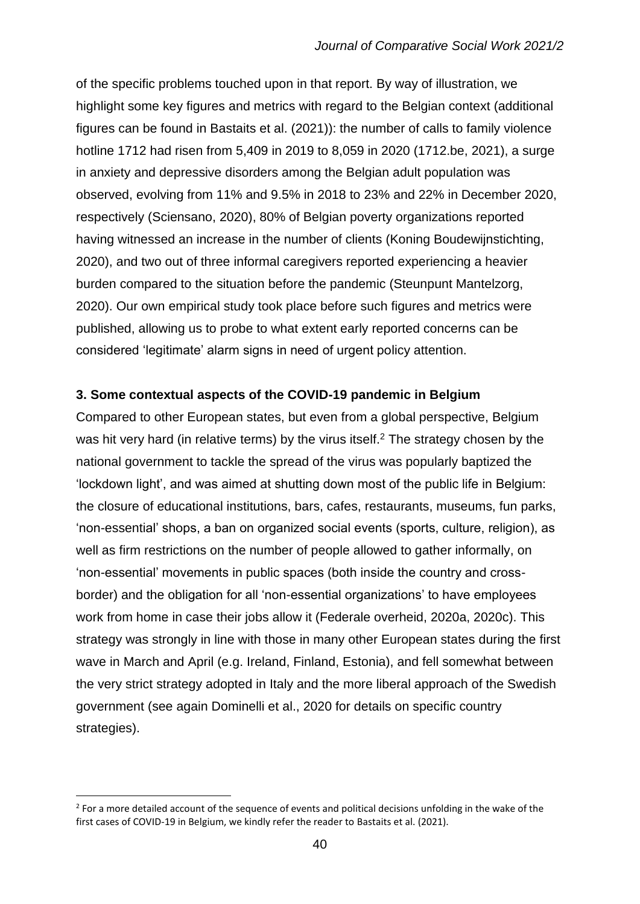of the specific problems touched upon in that report. By way of illustration, we highlight some key figures and metrics with regard to the Belgian context (additional figures can be found in Bastaits et al. (2021)): the number of calls to family violence hotline 1712 had risen from 5,409 in 2019 to 8,059 in 2020 (1712.be, 2021), a surge in anxiety and depressive disorders among the Belgian adult population was observed, evolving from 11% and 9.5% in 2018 to 23% and 22% in December 2020, respectively (Sciensano, 2020), 80% of Belgian poverty organizations reported having witnessed an increase in the number of clients (Koning Boudewijnstichting, 2020), and two out of three informal caregivers reported experiencing a heavier burden compared to the situation before the pandemic (Steunpunt Mantelzorg, 2020). Our own empirical study took place before such figures and metrics were published, allowing us to probe to what extent early reported concerns can be considered 'legitimate' alarm signs in need of urgent policy attention.

## **3. Some contextual aspects of the COVID-19 pandemic in Belgium**

Compared to other European states, but even from a global perspective, Belgium was hit very hard (in relative terms) by the virus itself.<sup>2</sup> The strategy chosen by the national government to tackle the spread of the virus was popularly baptized the 'lockdown light', and was aimed at shutting down most of the public life in Belgium: the closure of educational institutions, bars, cafes, restaurants, museums, fun parks, 'non-essential' shops, a ban on organized social events (sports, culture, religion), as well as firm restrictions on the number of people allowed to gather informally, on 'non-essential' movements in public spaces (both inside the country and crossborder) and the obligation for all 'non-essential organizations' to have employees work from home in case their jobs allow it (Federale overheid, 2020a, 2020c). This strategy was strongly in line with those in many other European states during the first wave in March and April (e.g. Ireland, Finland, Estonia), and fell somewhat between the very strict strategy adopted in Italy and the more liberal approach of the Swedish government (see again Dominelli et al., 2020 for details on specific country strategies).

 $2$  For a more detailed account of the sequence of events and political decisions unfolding in the wake of the first cases of COVID-19 in Belgium, we kindly refer the reader to Bastaits et al. (2021).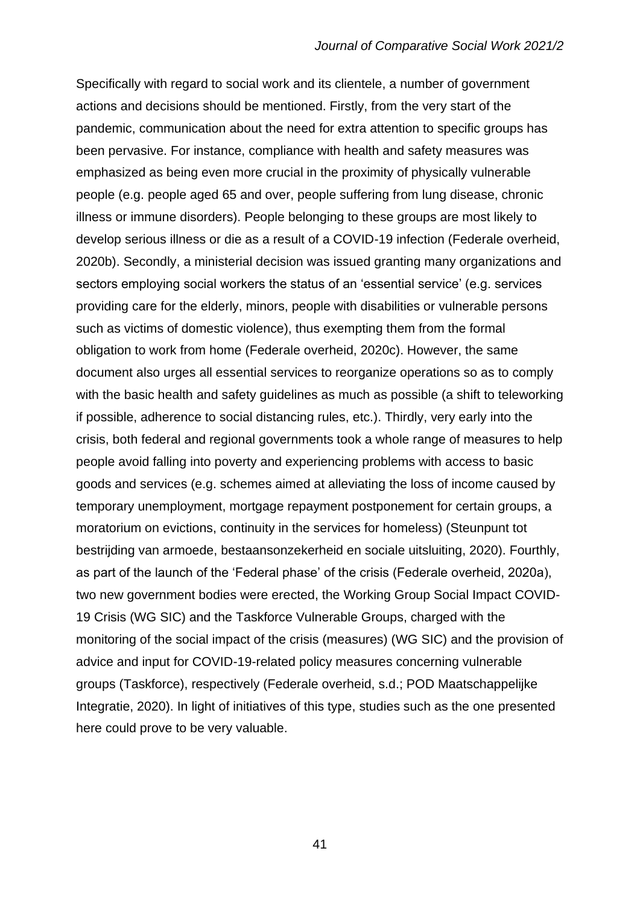Specifically with regard to social work and its clientele, a number of government actions and decisions should be mentioned. Firstly, from the very start of the pandemic, communication about the need for extra attention to specific groups has been pervasive. For instance, compliance with health and safety measures was emphasized as being even more crucial in the proximity of physically vulnerable people (e.g. people aged 65 and over, people suffering from lung disease, chronic illness or immune disorders). People belonging to these groups are most likely to develop serious illness or die as a result of a COVID-19 infection (Federale overheid, 2020b). Secondly, a ministerial decision was issued granting many organizations and sectors employing social workers the status of an 'essential service' (e.g. services providing care for the elderly, minors, people with disabilities or vulnerable persons such as victims of domestic violence), thus exempting them from the formal obligation to work from home (Federale overheid, 2020c). However, the same document also urges all essential services to reorganize operations so as to comply with the basic health and safety guidelines as much as possible (a shift to teleworking if possible, adherence to social distancing rules, etc.). Thirdly, very early into the crisis, both federal and regional governments took a whole range of measures to help people avoid falling into poverty and experiencing problems with access to basic goods and services (e.g. schemes aimed at alleviating the loss of income caused by temporary unemployment, mortgage repayment postponement for certain groups, a moratorium on evictions, continuity in the services for homeless) (Steunpunt tot bestrijding van armoede, bestaansonzekerheid en sociale uitsluiting, 2020). Fourthly, as part of the launch of the 'Federal phase' of the crisis (Federale overheid, 2020a), two new government bodies were erected, the Working Group Social Impact COVID-19 Crisis (WG SIC) and the Taskforce Vulnerable Groups, charged with the monitoring of the social impact of the crisis (measures) (WG SIC) and the provision of advice and input for COVID-19-related policy measures concerning vulnerable groups (Taskforce), respectively (Federale overheid, s.d.; POD Maatschappelijke Integratie, 2020). In light of initiatives of this type, studies such as the one presented here could prove to be very valuable.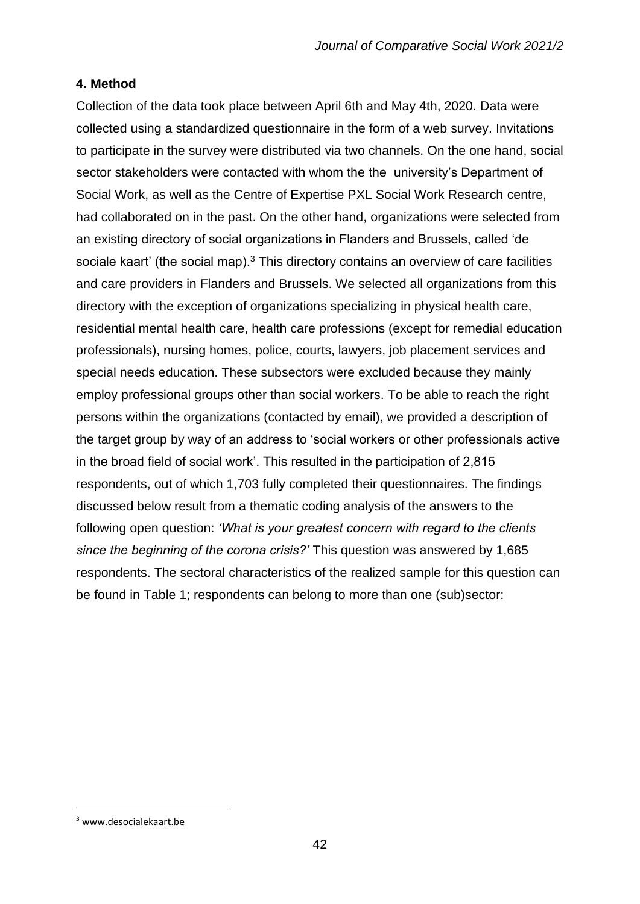# **4. Method**

Collection of the data took place between April 6th and May 4th, 2020. Data were collected using a standardized questionnaire in the form of a web survey. Invitations to participate in the survey were distributed via two channels. On the one hand, social sector stakeholders were contacted with whom the the university's Department of Social Work, as well as the Centre of Expertise PXL Social Work Research centre, had collaborated on in the past. On the other hand, organizations were selected from an existing directory of social organizations in Flanders and Brussels, called 'de sociale kaart' (the social map). $3$  This directory contains an overview of care facilities and care providers in Flanders and Brussels. We selected all organizations from this directory with the exception of organizations specializing in physical health care, residential mental health care, health care professions (except for remedial education professionals), nursing homes, police, courts, lawyers, job placement services and special needs education. These subsectors were excluded because they mainly employ professional groups other than social workers. To be able to reach the right persons within the organizations (contacted by email), we provided a description of the target group by way of an address to 'social workers or other professionals active in the broad field of social work'. This resulted in the participation of 2,815 respondents, out of which 1,703 fully completed their questionnaires. The findings discussed below result from a thematic coding analysis of the answers to the following open question: *'What is your greatest concern with regard to the clients since the beginning of the corona crisis?'* This question was answered by 1,685 respondents. The sectoral characteristics of the realized sample for this question can be found in Table 1; respondents can belong to more than one (sub)sector:

<sup>3</sup> www.desocialekaart.be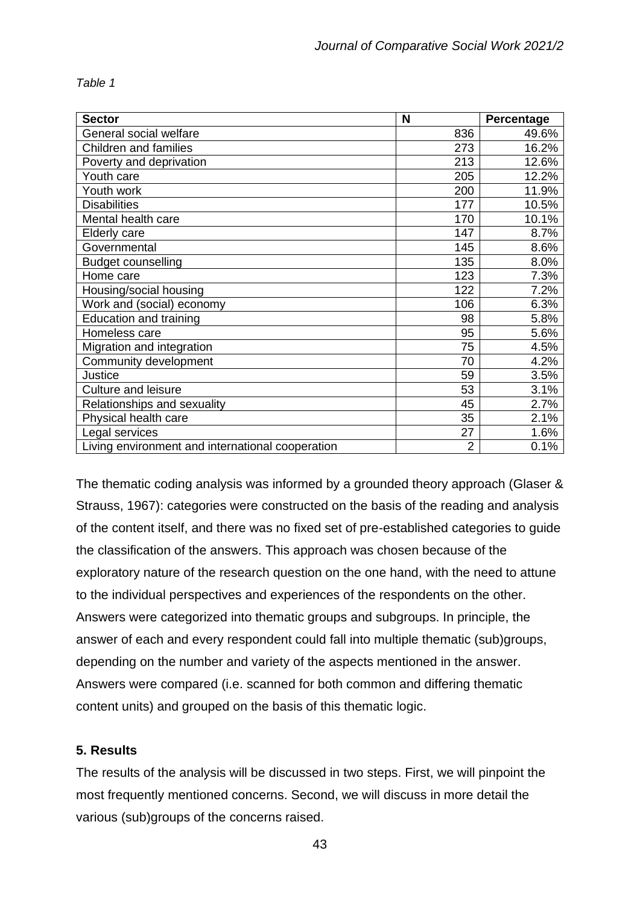*Table 1*

| <b>Sector</b>                                    | N              | Percentage |
|--------------------------------------------------|----------------|------------|
| General social welfare                           | 836            | 49.6%      |
| <b>Children and families</b>                     | 273            | 16.2%      |
| Poverty and deprivation                          | 213            | 12.6%      |
| Youth care                                       | 205            | 12.2%      |
| Youth work                                       | 200            | 11.9%      |
| <b>Disabilities</b>                              | 177            | 10.5%      |
| Mental health care                               | 170            | 10.1%      |
| Elderly care                                     | 147            | 8.7%       |
| Governmental                                     | 145            | 8.6%       |
| <b>Budget counselling</b>                        | 135            | 8.0%       |
| Home care                                        | 123            | 7.3%       |
| Housing/social housing                           | 122            | 7.2%       |
| Work and (social) economy                        | 106            | 6.3%       |
| <b>Education and training</b>                    | 98             | 5.8%       |
| Homeless care                                    | 95             | 5.6%       |
| Migration and integration                        | 75             | 4.5%       |
| Community development                            | 70             | 4.2%       |
| Justice                                          | 59             | 3.5%       |
| <b>Culture and leisure</b>                       | 53             | 3.1%       |
| Relationships and sexuality                      | 45             | 2.7%       |
| Physical health care                             | 35             | 2.1%       |
| Legal services                                   | 27             | 1.6%       |
| Living environment and international cooperation | $\overline{2}$ | 0.1%       |

The thematic coding analysis was informed by a grounded theory approach (Glaser & Strauss, 1967): categories were constructed on the basis of the reading and analysis of the content itself, and there was no fixed set of pre-established categories to guide the classification of the answers. This approach was chosen because of the exploratory nature of the research question on the one hand, with the need to attune to the individual perspectives and experiences of the respondents on the other. Answers were categorized into thematic groups and subgroups. In principle, the answer of each and every respondent could fall into multiple thematic (sub)groups, depending on the number and variety of the aspects mentioned in the answer. Answers were compared (i.e. scanned for both common and differing thematic content units) and grouped on the basis of this thematic logic.

# **5. Results**

The results of the analysis will be discussed in two steps. First, we will pinpoint the most frequently mentioned concerns. Second, we will discuss in more detail the various (sub)groups of the concerns raised.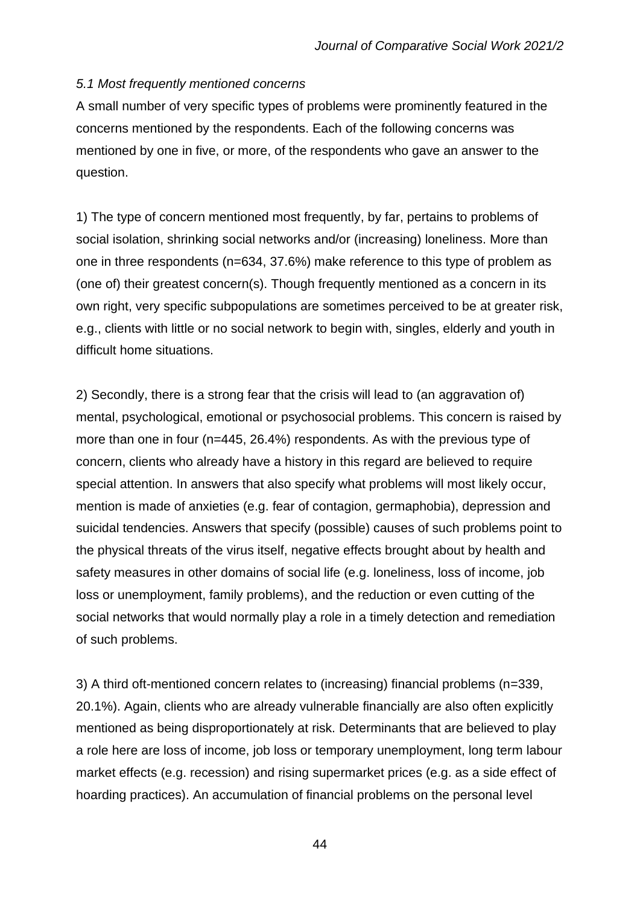# *5.1 Most frequently mentioned concerns*

A small number of very specific types of problems were prominently featured in the concerns mentioned by the respondents. Each of the following concerns was mentioned by one in five, or more, of the respondents who gave an answer to the question.

1) The type of concern mentioned most frequently, by far, pertains to problems of social isolation, shrinking social networks and/or (increasing) loneliness. More than one in three respondents (n=634, 37.6%) make reference to this type of problem as (one of) their greatest concern(s). Though frequently mentioned as a concern in its own right, very specific subpopulations are sometimes perceived to be at greater risk, e.g., clients with little or no social network to begin with, singles, elderly and youth in difficult home situations.

2) Secondly, there is a strong fear that the crisis will lead to (an aggravation of) mental, psychological, emotional or psychosocial problems. This concern is raised by more than one in four (n=445, 26.4%) respondents. As with the previous type of concern, clients who already have a history in this regard are believed to require special attention. In answers that also specify what problems will most likely occur, mention is made of anxieties (e.g. fear of contagion, germaphobia), depression and suicidal tendencies. Answers that specify (possible) causes of such problems point to the physical threats of the virus itself, negative effects brought about by health and safety measures in other domains of social life (e.g. loneliness, loss of income, job loss or unemployment, family problems), and the reduction or even cutting of the social networks that would normally play a role in a timely detection and remediation of such problems.

3) A third oft-mentioned concern relates to (increasing) financial problems (n=339, 20.1%). Again, clients who are already vulnerable financially are also often explicitly mentioned as being disproportionately at risk. Determinants that are believed to play a role here are loss of income, job loss or temporary unemployment, long term labour market effects (e.g. recession) and rising supermarket prices (e.g. as a side effect of hoarding practices). An accumulation of financial problems on the personal level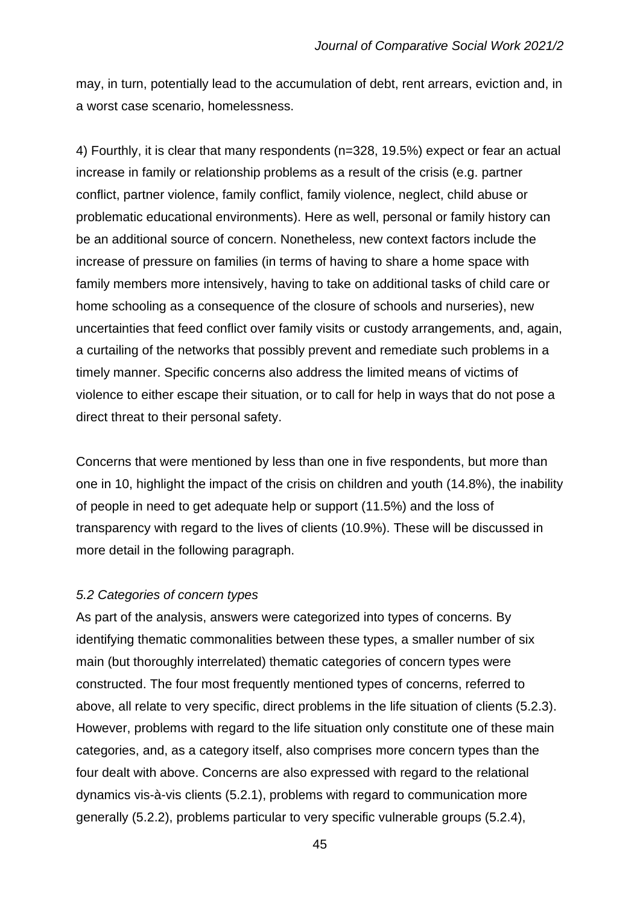may, in turn, potentially lead to the accumulation of debt, rent arrears, eviction and, in a worst case scenario, homelessness.

4) Fourthly, it is clear that many respondents (n=328, 19.5%) expect or fear an actual increase in family or relationship problems as a result of the crisis (e.g. partner conflict, partner violence, family conflict, family violence, neglect, child abuse or problematic educational environments). Here as well, personal or family history can be an additional source of concern. Nonetheless, new context factors include the increase of pressure on families (in terms of having to share a home space with family members more intensively, having to take on additional tasks of child care or home schooling as a consequence of the closure of schools and nurseries), new uncertainties that feed conflict over family visits or custody arrangements, and, again, a curtailing of the networks that possibly prevent and remediate such problems in a timely manner. Specific concerns also address the limited means of victims of violence to either escape their situation, or to call for help in ways that do not pose a direct threat to their personal safety.

Concerns that were mentioned by less than one in five respondents, but more than one in 10, highlight the impact of the crisis on children and youth (14.8%), the inability of people in need to get adequate help or support (11.5%) and the loss of transparency with regard to the lives of clients (10.9%). These will be discussed in more detail in the following paragraph.

#### *5.2 Categories of concern types*

As part of the analysis, answers were categorized into types of concerns. By identifying thematic commonalities between these types, a smaller number of six main (but thoroughly interrelated) thematic categories of concern types were constructed. The four most frequently mentioned types of concerns, referred to above, all relate to very specific, direct problems in the life situation of clients (5.2.3). However, problems with regard to the life situation only constitute one of these main categories, and, as a category itself, also comprises more concern types than the four dealt with above. Concerns are also expressed with regard to the relational dynamics vis-à-vis clients (5.2.1), problems with regard to communication more generally (5.2.2), problems particular to very specific vulnerable groups (5.2.4),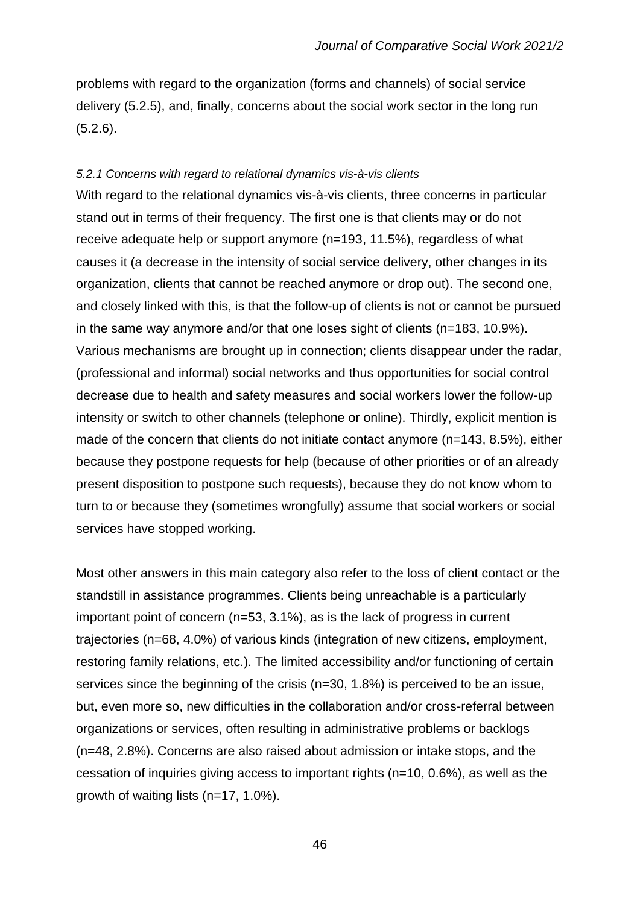problems with regard to the organization (forms and channels) of social service delivery (5.2.5), and, finally, concerns about the social work sector in the long run (5.2.6).

#### *5.2.1 Concerns with regard to relational dynamics vis-à-vis clients*

With regard to the relational dynamics vis-à-vis clients, three concerns in particular stand out in terms of their frequency. The first one is that clients may or do not receive adequate help or support anymore (n=193, 11.5%), regardless of what causes it (a decrease in the intensity of social service delivery, other changes in its organization, clients that cannot be reached anymore or drop out). The second one, and closely linked with this, is that the follow-up of clients is not or cannot be pursued in the same way anymore and/or that one loses sight of clients (n=183, 10.9%). Various mechanisms are brought up in connection; clients disappear under the radar, (professional and informal) social networks and thus opportunities for social control decrease due to health and safety measures and social workers lower the follow-up intensity or switch to other channels (telephone or online). Thirdly, explicit mention is made of the concern that clients do not initiate contact anymore (n=143, 8.5%), either because they postpone requests for help (because of other priorities or of an already present disposition to postpone such requests), because they do not know whom to turn to or because they (sometimes wrongfully) assume that social workers or social services have stopped working.

Most other answers in this main category also refer to the loss of client contact or the standstill in assistance programmes. Clients being unreachable is a particularly important point of concern (n=53, 3.1%), as is the lack of progress in current trajectories (n=68, 4.0%) of various kinds (integration of new citizens, employment, restoring family relations, etc.). The limited accessibility and/or functioning of certain services since the beginning of the crisis (n=30, 1.8%) is perceived to be an issue, but, even more so, new difficulties in the collaboration and/or cross-referral between organizations or services, often resulting in administrative problems or backlogs (n=48, 2.8%). Concerns are also raised about admission or intake stops, and the cessation of inquiries giving access to important rights (n=10, 0.6%), as well as the growth of waiting lists (n=17, 1.0%).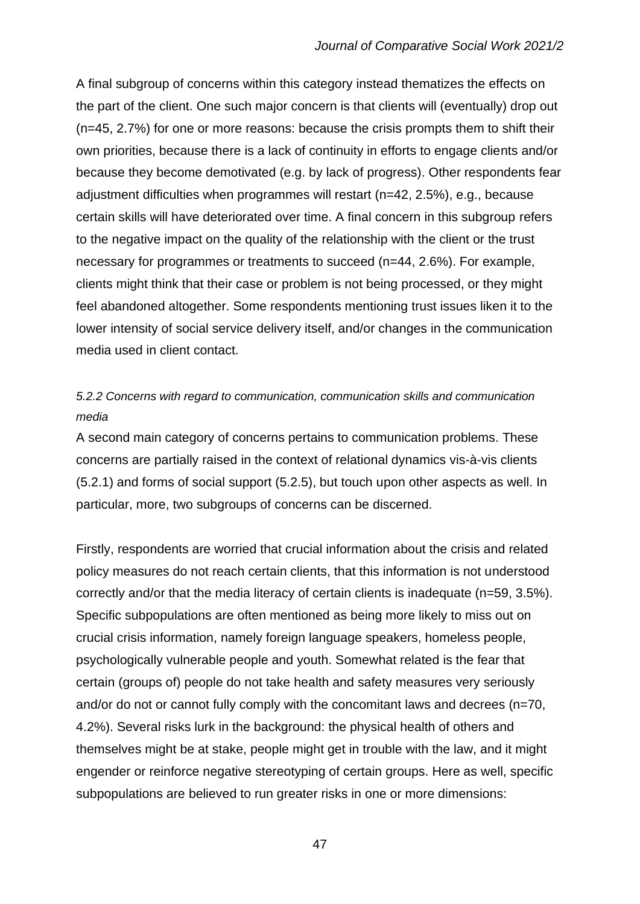A final subgroup of concerns within this category instead thematizes the effects on the part of the client. One such major concern is that clients will (eventually) drop out (n=45, 2.7%) for one or more reasons: because the crisis prompts them to shift their own priorities, because there is a lack of continuity in efforts to engage clients and/or because they become demotivated (e.g. by lack of progress). Other respondents fear adjustment difficulties when programmes will restart (n=42, 2.5%), e.g., because certain skills will have deteriorated over time. A final concern in this subgroup refers to the negative impact on the quality of the relationship with the client or the trust necessary for programmes or treatments to succeed (n=44, 2.6%). For example, clients might think that their case or problem is not being processed, or they might feel abandoned altogether. Some respondents mentioning trust issues liken it to the lower intensity of social service delivery itself, and/or changes in the communication media used in client contact.

# *5.2.2 Concerns with regard to communication, communication skills and communication media*

A second main category of concerns pertains to communication problems. These concerns are partially raised in the context of relational dynamics vis-à-vis clients (5.2.1) and forms of social support (5.2.5), but touch upon other aspects as well. In particular, more, two subgroups of concerns can be discerned.

Firstly, respondents are worried that crucial information about the crisis and related policy measures do not reach certain clients, that this information is not understood correctly and/or that the media literacy of certain clients is inadequate (n=59, 3.5%). Specific subpopulations are often mentioned as being more likely to miss out on crucial crisis information, namely foreign language speakers, homeless people, psychologically vulnerable people and youth. Somewhat related is the fear that certain (groups of) people do not take health and safety measures very seriously and/or do not or cannot fully comply with the concomitant laws and decrees (n=70, 4.2%). Several risks lurk in the background: the physical health of others and themselves might be at stake, people might get in trouble with the law, and it might engender or reinforce negative stereotyping of certain groups. Here as well, specific subpopulations are believed to run greater risks in one or more dimensions: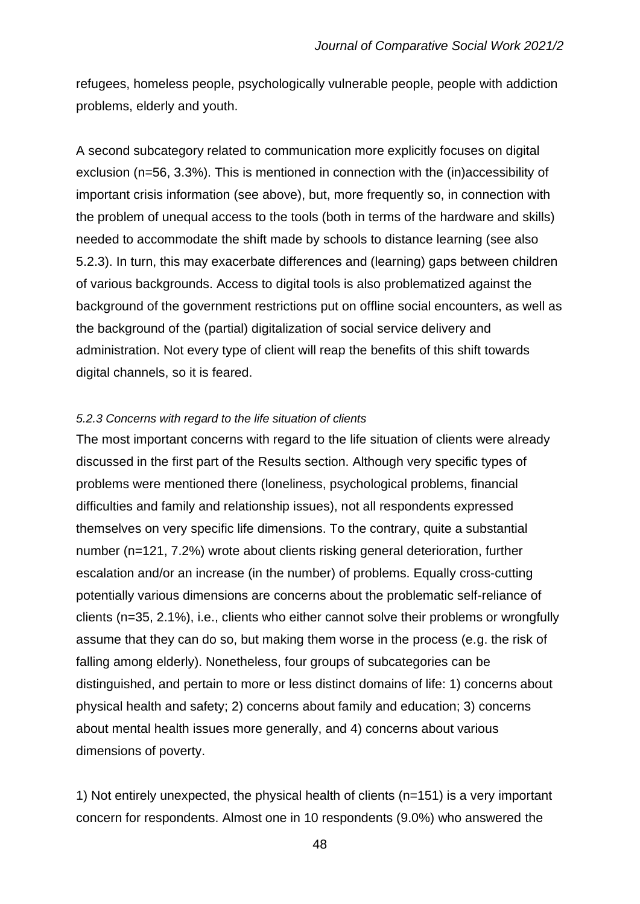refugees, homeless people, psychologically vulnerable people, people with addiction problems, elderly and youth.

A second subcategory related to communication more explicitly focuses on digital exclusion (n=56, 3.3%). This is mentioned in connection with the (in)accessibility of important crisis information (see above), but, more frequently so, in connection with the problem of unequal access to the tools (both in terms of the hardware and skills) needed to accommodate the shift made by schools to distance learning (see also 5.2.3). In turn, this may exacerbate differences and (learning) gaps between children of various backgrounds. Access to digital tools is also problematized against the background of the government restrictions put on offline social encounters, as well as the background of the (partial) digitalization of social service delivery and administration. Not every type of client will reap the benefits of this shift towards digital channels, so it is feared.

#### *5.2.3 Concerns with regard to the life situation of clients*

The most important concerns with regard to the life situation of clients were already discussed in the first part of the Results section. Although very specific types of problems were mentioned there (loneliness, psychological problems, financial difficulties and family and relationship issues), not all respondents expressed themselves on very specific life dimensions. To the contrary, quite a substantial number (n=121, 7.2%) wrote about clients risking general deterioration, further escalation and/or an increase (in the number) of problems. Equally cross-cutting potentially various dimensions are concerns about the problematic self-reliance of clients (n=35, 2.1%), i.e., clients who either cannot solve their problems or wrongfully assume that they can do so, but making them worse in the process (e.g. the risk of falling among elderly). Nonetheless, four groups of subcategories can be distinguished, and pertain to more or less distinct domains of life: 1) concerns about physical health and safety; 2) concerns about family and education; 3) concerns about mental health issues more generally, and 4) concerns about various dimensions of poverty.

1) Not entirely unexpected, the physical health of clients (n=151) is a very important concern for respondents. Almost one in 10 respondents (9.0%) who answered the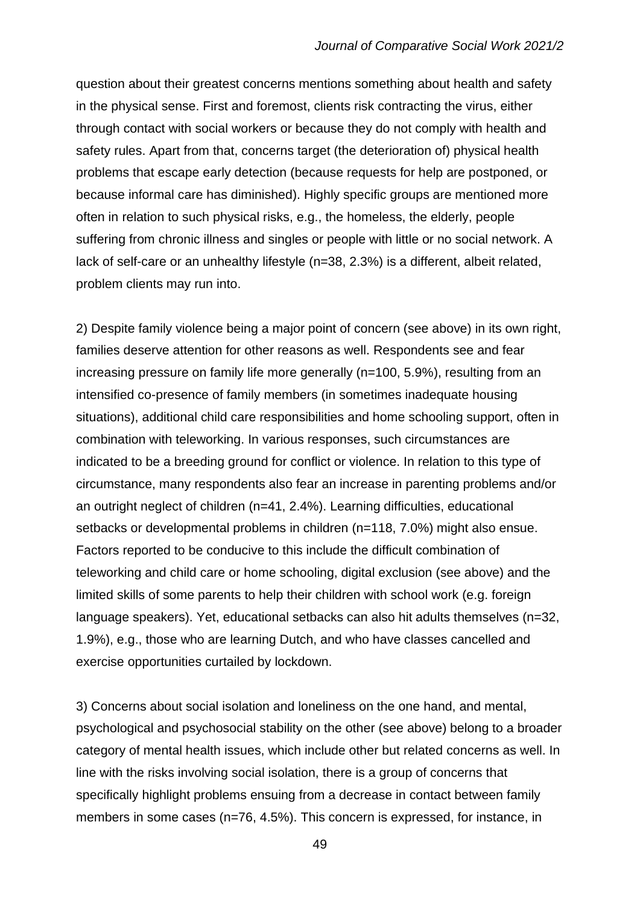question about their greatest concerns mentions something about health and safety in the physical sense. First and foremost, clients risk contracting the virus, either through contact with social workers or because they do not comply with health and safety rules. Apart from that, concerns target (the deterioration of) physical health problems that escape early detection (because requests for help are postponed, or because informal care has diminished). Highly specific groups are mentioned more often in relation to such physical risks, e.g., the homeless, the elderly, people suffering from chronic illness and singles or people with little or no social network. A lack of self-care or an unhealthy lifestyle (n=38, 2.3%) is a different, albeit related, problem clients may run into.

2) Despite family violence being a major point of concern (see above) in its own right, families deserve attention for other reasons as well. Respondents see and fear increasing pressure on family life more generally (n=100, 5.9%), resulting from an intensified co-presence of family members (in sometimes inadequate housing situations), additional child care responsibilities and home schooling support, often in combination with teleworking. In various responses, such circumstances are indicated to be a breeding ground for conflict or violence. In relation to this type of circumstance, many respondents also fear an increase in parenting problems and/or an outright neglect of children (n=41, 2.4%). Learning difficulties, educational setbacks or developmental problems in children (n=118, 7.0%) might also ensue. Factors reported to be conducive to this include the difficult combination of teleworking and child care or home schooling, digital exclusion (see above) and the limited skills of some parents to help their children with school work (e.g. foreign language speakers). Yet, educational setbacks can also hit adults themselves (n=32, 1.9%), e.g., those who are learning Dutch, and who have classes cancelled and exercise opportunities curtailed by lockdown.

3) Concerns about social isolation and loneliness on the one hand, and mental, psychological and psychosocial stability on the other (see above) belong to a broader category of mental health issues, which include other but related concerns as well. In line with the risks involving social isolation, there is a group of concerns that specifically highlight problems ensuing from a decrease in contact between family members in some cases (n=76, 4.5%). This concern is expressed, for instance, in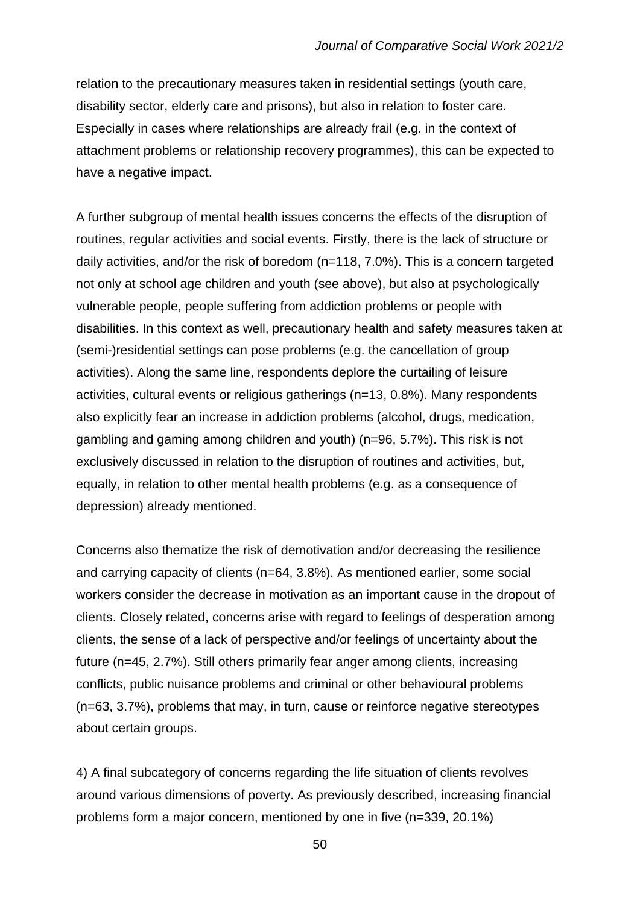relation to the precautionary measures taken in residential settings (youth care, disability sector, elderly care and prisons), but also in relation to foster care. Especially in cases where relationships are already frail (e.g. in the context of attachment problems or relationship recovery programmes), this can be expected to have a negative impact.

A further subgroup of mental health issues concerns the effects of the disruption of routines, regular activities and social events. Firstly, there is the lack of structure or daily activities, and/or the risk of boredom (n=118, 7.0%). This is a concern targeted not only at school age children and youth (see above), but also at psychologically vulnerable people, people suffering from addiction problems or people with disabilities. In this context as well, precautionary health and safety measures taken at (semi-)residential settings can pose problems (e.g. the cancellation of group activities). Along the same line, respondents deplore the curtailing of leisure activities, cultural events or religious gatherings (n=13, 0.8%). Many respondents also explicitly fear an increase in addiction problems (alcohol, drugs, medication, gambling and gaming among children and youth) (n=96, 5.7%). This risk is not exclusively discussed in relation to the disruption of routines and activities, but, equally, in relation to other mental health problems (e.g. as a consequence of depression) already mentioned.

Concerns also thematize the risk of demotivation and/or decreasing the resilience and carrying capacity of clients (n=64, 3.8%). As mentioned earlier, some social workers consider the decrease in motivation as an important cause in the dropout of clients. Closely related, concerns arise with regard to feelings of desperation among clients, the sense of a lack of perspective and/or feelings of uncertainty about the future (n=45, 2.7%). Still others primarily fear anger among clients, increasing conflicts, public nuisance problems and criminal or other behavioural problems (n=63, 3.7%), problems that may, in turn, cause or reinforce negative stereotypes about certain groups.

4) A final subcategory of concerns regarding the life situation of clients revolves around various dimensions of poverty. As previously described, increasing financial problems form a major concern, mentioned by one in five (n=339, 20.1%)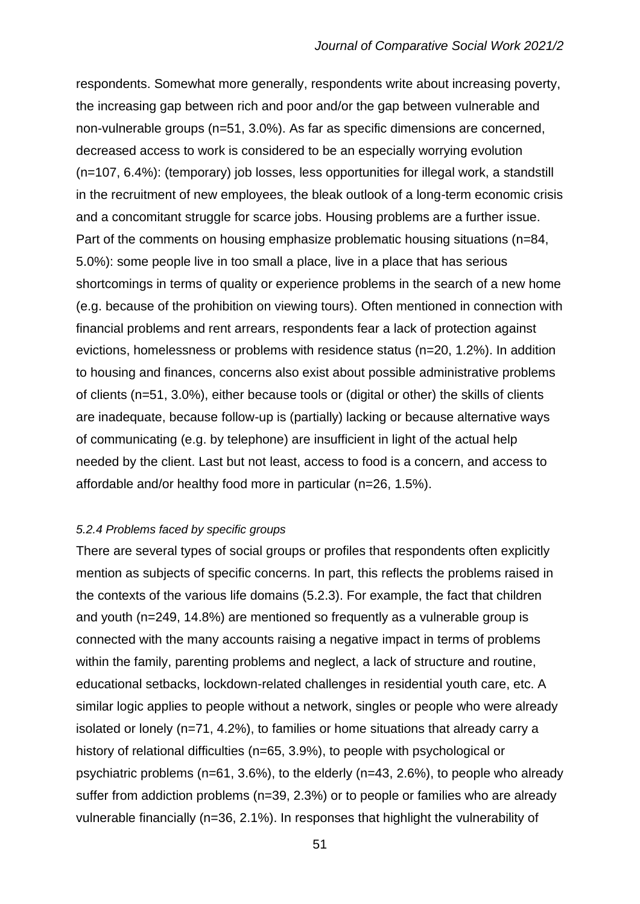respondents. Somewhat more generally, respondents write about increasing poverty, the increasing gap between rich and poor and/or the gap between vulnerable and non-vulnerable groups (n=51, 3.0%). As far as specific dimensions are concerned, decreased access to work is considered to be an especially worrying evolution (n=107, 6.4%): (temporary) job losses, less opportunities for illegal work, a standstill in the recruitment of new employees, the bleak outlook of a long-term economic crisis and a concomitant struggle for scarce jobs. Housing problems are a further issue. Part of the comments on housing emphasize problematic housing situations (n=84, 5.0%): some people live in too small a place, live in a place that has serious shortcomings in terms of quality or experience problems in the search of a new home (e.g. because of the prohibition on viewing tours). Often mentioned in connection with financial problems and rent arrears, respondents fear a lack of protection against evictions, homelessness or problems with residence status (n=20, 1.2%). In addition to housing and finances, concerns also exist about possible administrative problems of clients (n=51, 3.0%), either because tools or (digital or other) the skills of clients are inadequate, because follow-up is (partially) lacking or because alternative ways of communicating (e.g. by telephone) are insufficient in light of the actual help needed by the client. Last but not least, access to food is a concern, and access to affordable and/or healthy food more in particular (n=26, 1.5%).

#### *5.2.4 Problems faced by specific groups*

There are several types of social groups or profiles that respondents often explicitly mention as subjects of specific concerns. In part, this reflects the problems raised in the contexts of the various life domains (5.2.3). For example, the fact that children and youth (n=249, 14.8%) are mentioned so frequently as a vulnerable group is connected with the many accounts raising a negative impact in terms of problems within the family, parenting problems and neglect, a lack of structure and routine, educational setbacks, lockdown-related challenges in residential youth care, etc. A similar logic applies to people without a network, singles or people who were already isolated or lonely (n=71, 4.2%), to families or home situations that already carry a history of relational difficulties (n=65, 3.9%), to people with psychological or psychiatric problems (n=61, 3.6%), to the elderly (n=43, 2.6%), to people who already suffer from addiction problems (n=39, 2.3%) or to people or families who are already vulnerable financially (n=36, 2.1%). In responses that highlight the vulnerability of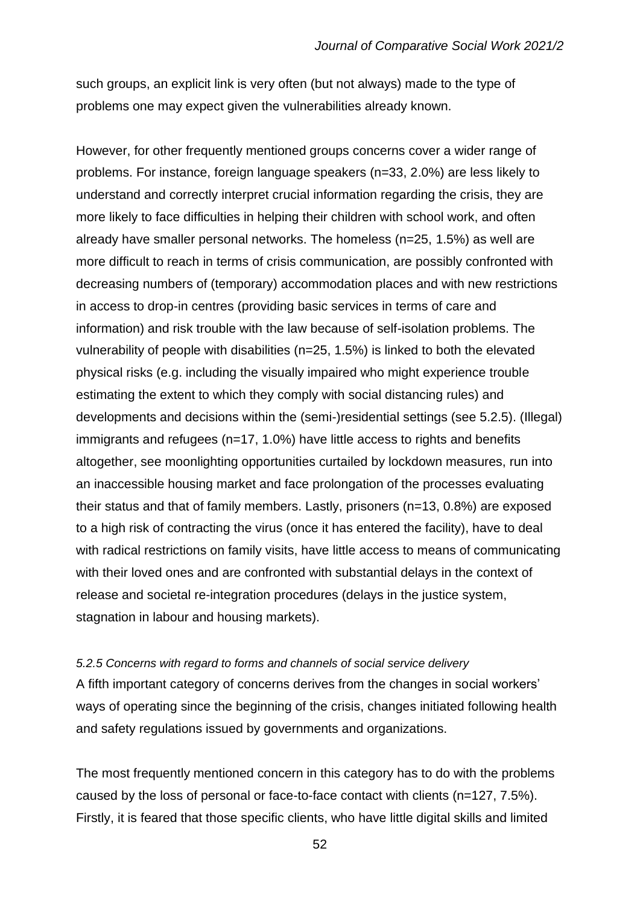such groups, an explicit link is very often (but not always) made to the type of problems one may expect given the vulnerabilities already known.

However, for other frequently mentioned groups concerns cover a wider range of problems. For instance, foreign language speakers (n=33, 2.0%) are less likely to understand and correctly interpret crucial information regarding the crisis, they are more likely to face difficulties in helping their children with school work, and often already have smaller personal networks. The homeless (n=25, 1.5%) as well are more difficult to reach in terms of crisis communication, are possibly confronted with decreasing numbers of (temporary) accommodation places and with new restrictions in access to drop-in centres (providing basic services in terms of care and information) and risk trouble with the law because of self-isolation problems. The vulnerability of people with disabilities (n=25, 1.5%) is linked to both the elevated physical risks (e.g. including the visually impaired who might experience trouble estimating the extent to which they comply with social distancing rules) and developments and decisions within the (semi-)residential settings (see 5.2.5). (Illegal) immigrants and refugees (n=17, 1.0%) have little access to rights and benefits altogether, see moonlighting opportunities curtailed by lockdown measures, run into an inaccessible housing market and face prolongation of the processes evaluating their status and that of family members. Lastly, prisoners (n=13, 0.8%) are exposed to a high risk of contracting the virus (once it has entered the facility), have to deal with radical restrictions on family visits, have little access to means of communicating with their loved ones and are confronted with substantial delays in the context of release and societal re-integration procedures (delays in the justice system, stagnation in labour and housing markets).

#### *5.2.5 Concerns with regard to forms and channels of social service delivery*

A fifth important category of concerns derives from the changes in social workers' ways of operating since the beginning of the crisis, changes initiated following health and safety regulations issued by governments and organizations.

The most frequently mentioned concern in this category has to do with the problems caused by the loss of personal or face-to-face contact with clients (n=127, 7.5%). Firstly, it is feared that those specific clients, who have little digital skills and limited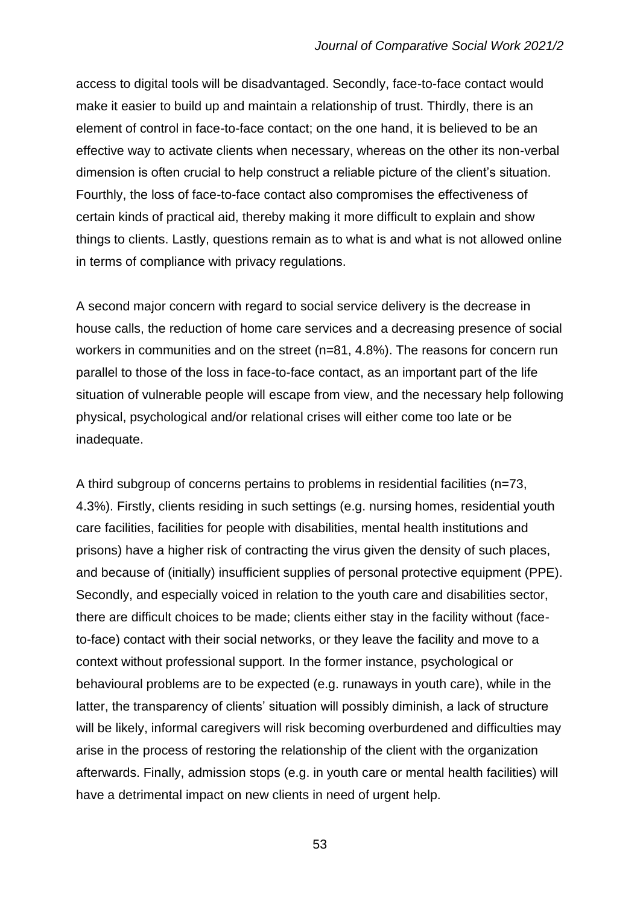access to digital tools will be disadvantaged. Secondly, face-to-face contact would make it easier to build up and maintain a relationship of trust. Thirdly, there is an element of control in face-to-face contact; on the one hand, it is believed to be an effective way to activate clients when necessary, whereas on the other its non-verbal dimension is often crucial to help construct a reliable picture of the client's situation. Fourthly, the loss of face-to-face contact also compromises the effectiveness of certain kinds of practical aid, thereby making it more difficult to explain and show things to clients. Lastly, questions remain as to what is and what is not allowed online in terms of compliance with privacy regulations.

A second major concern with regard to social service delivery is the decrease in house calls, the reduction of home care services and a decreasing presence of social workers in communities and on the street (n=81, 4.8%). The reasons for concern run parallel to those of the loss in face-to-face contact, as an important part of the life situation of vulnerable people will escape from view, and the necessary help following physical, psychological and/or relational crises will either come too late or be inadequate.

A third subgroup of concerns pertains to problems in residential facilities (n=73, 4.3%). Firstly, clients residing in such settings (e.g. nursing homes, residential youth care facilities, facilities for people with disabilities, mental health institutions and prisons) have a higher risk of contracting the virus given the density of such places, and because of (initially) insufficient supplies of personal protective equipment (PPE). Secondly, and especially voiced in relation to the youth care and disabilities sector, there are difficult choices to be made; clients either stay in the facility without (faceto-face) contact with their social networks, or they leave the facility and move to a context without professional support. In the former instance, psychological or behavioural problems are to be expected (e.g. runaways in youth care), while in the latter, the transparency of clients' situation will possibly diminish, a lack of structure will be likely, informal caregivers will risk becoming overburdened and difficulties may arise in the process of restoring the relationship of the client with the organization afterwards. Finally, admission stops (e.g. in youth care or mental health facilities) will have a detrimental impact on new clients in need of urgent help.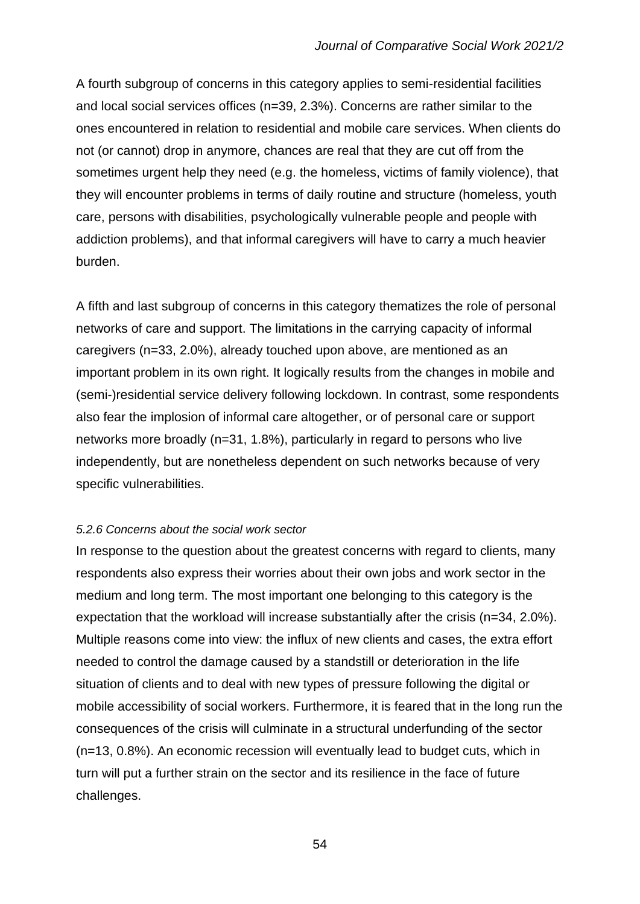A fourth subgroup of concerns in this category applies to semi-residential facilities and local social services offices (n=39, 2.3%). Concerns are rather similar to the ones encountered in relation to residential and mobile care services. When clients do not (or cannot) drop in anymore, chances are real that they are cut off from the sometimes urgent help they need (e.g. the homeless, victims of family violence), that they will encounter problems in terms of daily routine and structure (homeless, youth care, persons with disabilities, psychologically vulnerable people and people with addiction problems), and that informal caregivers will have to carry a much heavier burden.

A fifth and last subgroup of concerns in this category thematizes the role of personal networks of care and support. The limitations in the carrying capacity of informal caregivers (n=33, 2.0%), already touched upon above, are mentioned as an important problem in its own right. It logically results from the changes in mobile and (semi-)residential service delivery following lockdown. In contrast, some respondents also fear the implosion of informal care altogether, or of personal care or support networks more broadly (n=31, 1.8%), particularly in regard to persons who live independently, but are nonetheless dependent on such networks because of very specific vulnerabilities.

## *5.2.6 Concerns about the social work sector*

In response to the question about the greatest concerns with regard to clients, many respondents also express their worries about their own jobs and work sector in the medium and long term. The most important one belonging to this category is the expectation that the workload will increase substantially after the crisis (n=34, 2.0%). Multiple reasons come into view: the influx of new clients and cases, the extra effort needed to control the damage caused by a standstill or deterioration in the life situation of clients and to deal with new types of pressure following the digital or mobile accessibility of social workers. Furthermore, it is feared that in the long run the consequences of the crisis will culminate in a structural underfunding of the sector (n=13, 0.8%). An economic recession will eventually lead to budget cuts, which in turn will put a further strain on the sector and its resilience in the face of future challenges.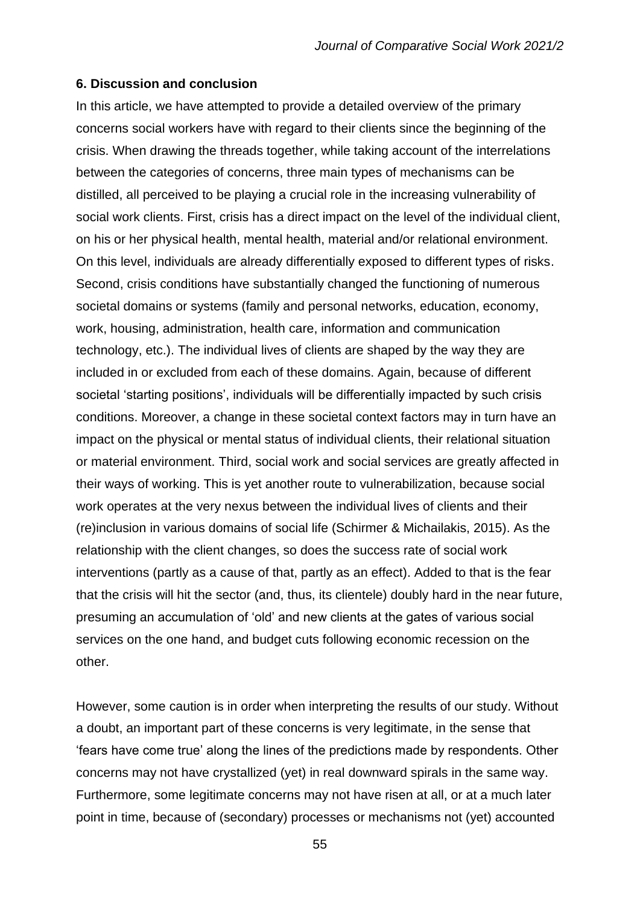#### **6. Discussion and conclusion**

In this article, we have attempted to provide a detailed overview of the primary concerns social workers have with regard to their clients since the beginning of the crisis. When drawing the threads together, while taking account of the interrelations between the categories of concerns, three main types of mechanisms can be distilled, all perceived to be playing a crucial role in the increasing vulnerability of social work clients. First, crisis has a direct impact on the level of the individual client, on his or her physical health, mental health, material and/or relational environment. On this level, individuals are already differentially exposed to different types of risks. Second, crisis conditions have substantially changed the functioning of numerous societal domains or systems (family and personal networks, education, economy, work, housing, administration, health care, information and communication technology, etc.). The individual lives of clients are shaped by the way they are included in or excluded from each of these domains. Again, because of different societal 'starting positions', individuals will be differentially impacted by such crisis conditions. Moreover, a change in these societal context factors may in turn have an impact on the physical or mental status of individual clients, their relational situation or material environment. Third, social work and social services are greatly affected in their ways of working. This is yet another route to vulnerabilization, because social work operates at the very nexus between the individual lives of clients and their (re)inclusion in various domains of social life (Schirmer & Michailakis, 2015). As the relationship with the client changes, so does the success rate of social work interventions (partly as a cause of that, partly as an effect). Added to that is the fear that the crisis will hit the sector (and, thus, its clientele) doubly hard in the near future, presuming an accumulation of 'old' and new clients at the gates of various social services on the one hand, and budget cuts following economic recession on the other.

However, some caution is in order when interpreting the results of our study. Without a doubt, an important part of these concerns is very legitimate, in the sense that 'fears have come true' along the lines of the predictions made by respondents. Other concerns may not have crystallized (yet) in real downward spirals in the same way. Furthermore, some legitimate concerns may not have risen at all, or at a much later point in time, because of (secondary) processes or mechanisms not (yet) accounted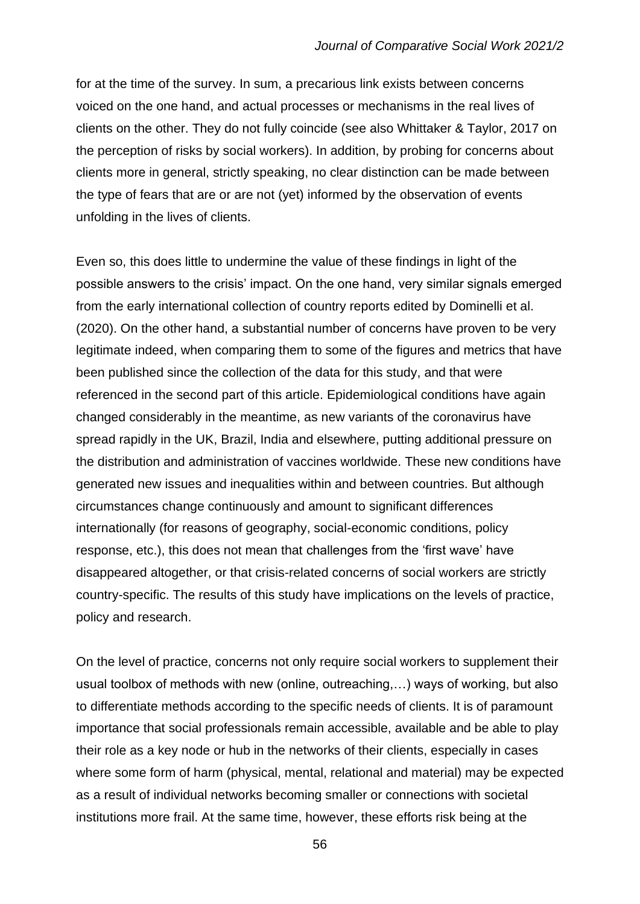for at the time of the survey. In sum, a precarious link exists between concerns voiced on the one hand, and actual processes or mechanisms in the real lives of clients on the other. They do not fully coincide (see also Whittaker & Taylor, 2017 on the perception of risks by social workers). In addition, by probing for concerns about clients more in general, strictly speaking, no clear distinction can be made between the type of fears that are or are not (yet) informed by the observation of events unfolding in the lives of clients.

Even so, this does little to undermine the value of these findings in light of the possible answers to the crisis' impact. On the one hand, very similar signals emerged from the early international collection of country reports edited by Dominelli et al. (2020). On the other hand, a substantial number of concerns have proven to be very legitimate indeed, when comparing them to some of the figures and metrics that have been published since the collection of the data for this study, and that were referenced in the second part of this article. Epidemiological conditions have again changed considerably in the meantime, as new variants of the coronavirus have spread rapidly in the UK, Brazil, India and elsewhere, putting additional pressure on the distribution and administration of vaccines worldwide. These new conditions have generated new issues and inequalities within and between countries. But although circumstances change continuously and amount to significant differences internationally (for reasons of geography, social-economic conditions, policy response, etc.), this does not mean that challenges from the 'first wave' have disappeared altogether, or that crisis-related concerns of social workers are strictly country-specific. The results of this study have implications on the levels of practice, policy and research.

On the level of practice, concerns not only require social workers to supplement their usual toolbox of methods with new (online, outreaching,…) ways of working, but also to differentiate methods according to the specific needs of clients. It is of paramount importance that social professionals remain accessible, available and be able to play their role as a key node or hub in the networks of their clients, especially in cases where some form of harm (physical, mental, relational and material) may be expected as a result of individual networks becoming smaller or connections with societal institutions more frail. At the same time, however, these efforts risk being at the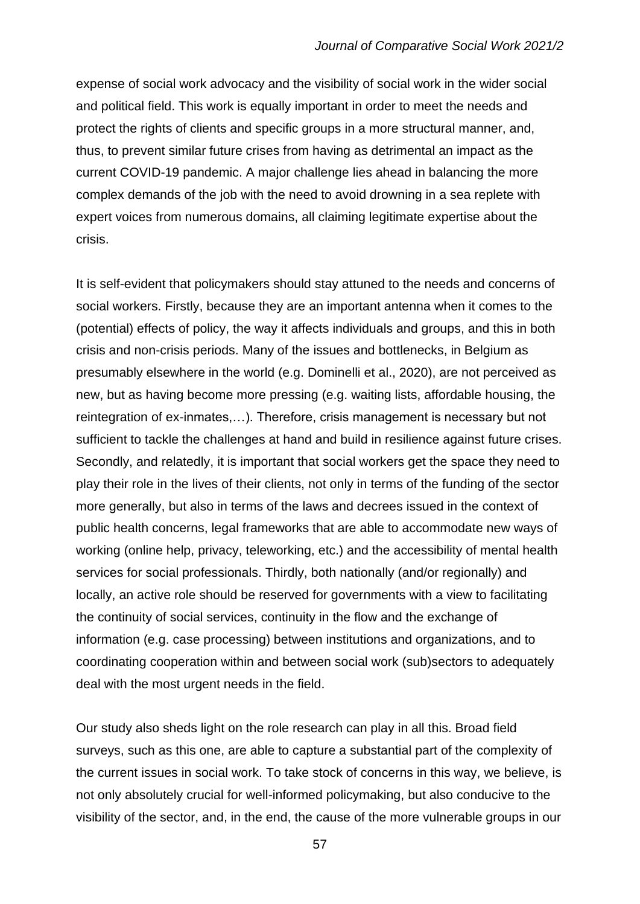expense of social work advocacy and the visibility of social work in the wider social and political field. This work is equally important in order to meet the needs and protect the rights of clients and specific groups in a more structural manner, and, thus, to prevent similar future crises from having as detrimental an impact as the current COVID-19 pandemic. A major challenge lies ahead in balancing the more complex demands of the job with the need to avoid drowning in a sea replete with expert voices from numerous domains, all claiming legitimate expertise about the crisis.

It is self-evident that policymakers should stay attuned to the needs and concerns of social workers. Firstly, because they are an important antenna when it comes to the (potential) effects of policy, the way it affects individuals and groups, and this in both crisis and non-crisis periods. Many of the issues and bottlenecks, in Belgium as presumably elsewhere in the world (e.g. Dominelli et al., 2020), are not perceived as new, but as having become more pressing (e.g. waiting lists, affordable housing, the reintegration of ex-inmates,…). Therefore, crisis management is necessary but not sufficient to tackle the challenges at hand and build in resilience against future crises. Secondly, and relatedly, it is important that social workers get the space they need to play their role in the lives of their clients, not only in terms of the funding of the sector more generally, but also in terms of the laws and decrees issued in the context of public health concerns, legal frameworks that are able to accommodate new ways of working (online help, privacy, teleworking, etc.) and the accessibility of mental health services for social professionals. Thirdly, both nationally (and/or regionally) and locally, an active role should be reserved for governments with a view to facilitating the continuity of social services, continuity in the flow and the exchange of information (e.g. case processing) between institutions and organizations, and to coordinating cooperation within and between social work (sub)sectors to adequately deal with the most urgent needs in the field.

Our study also sheds light on the role research can play in all this. Broad field surveys, such as this one, are able to capture a substantial part of the complexity of the current issues in social work. To take stock of concerns in this way, we believe, is not only absolutely crucial for well-informed policymaking, but also conducive to the visibility of the sector, and, in the end, the cause of the more vulnerable groups in our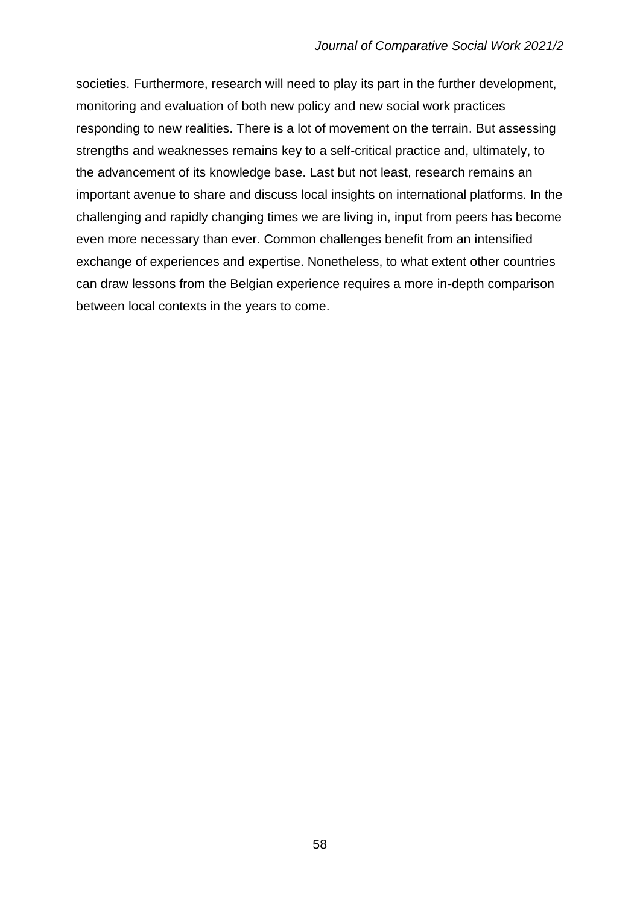societies. Furthermore, research will need to play its part in the further development, monitoring and evaluation of both new policy and new social work practices responding to new realities. There is a lot of movement on the terrain. But assessing strengths and weaknesses remains key to a self-critical practice and, ultimately, to the advancement of its knowledge base. Last but not least, research remains an important avenue to share and discuss local insights on international platforms. In the challenging and rapidly changing times we are living in, input from peers has become even more necessary than ever. Common challenges benefit from an intensified exchange of experiences and expertise. Nonetheless, to what extent other countries can draw lessons from the Belgian experience requires a more in-depth comparison between local contexts in the years to come.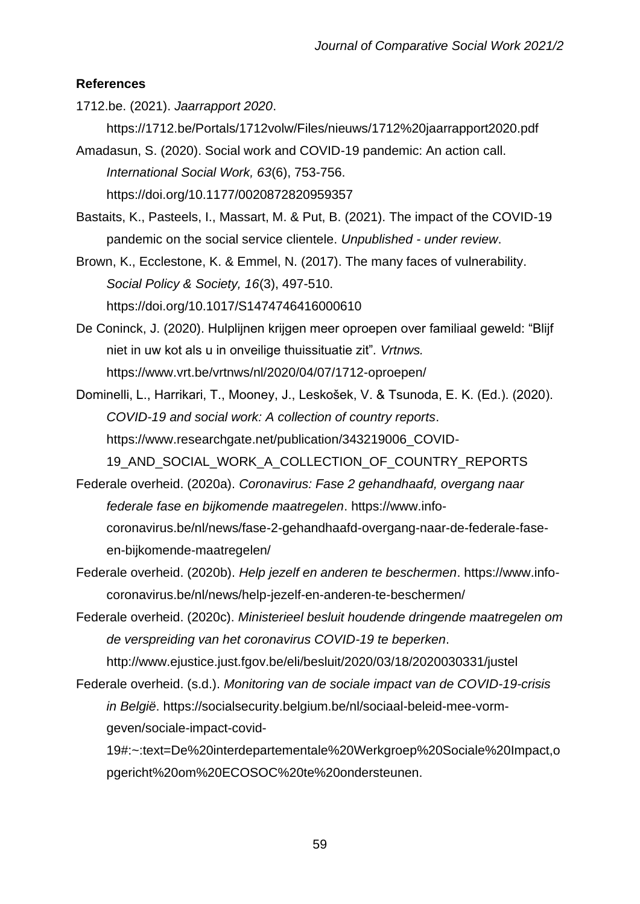# **References**

1712.be. (2021). *Jaarrapport 2020*.

https://1712.be/Portals/1712volw/Files/nieuws/1712%20jaarrapport2020.pdf

Amadasun, S. (2020). Social work and COVID-19 pandemic: An action call. *International Social Work, 63*(6), 753-756. https://doi.org/10.1177/0020872820959357

Bastaits, K., Pasteels, I., Massart, M. & Put, B. (2021). The impact of the COVID-19 pandemic on the social service clientele. *Unpublished - under review*.

Brown, K., Ecclestone, K. & Emmel, N. (2017). The many faces of vulnerability. *Social Policy & Society, 16*(3), 497-510. https://doi.org/10.1017/S1474746416000610

De Coninck, J. (2020). Hulplijnen krijgen meer oproepen over familiaal geweld: "Blijf niet in uw kot als u in onveilige thuissituatie zit"*. Vrtnws.*  https://www.vrt.be/vrtnws/nl/2020/04/07/1712-oproepen/

Dominelli, L., Harrikari, T., Mooney, J., Leskošek, V. & Tsunoda, E. K. (Ed.). (2020). *COVID-19 and social work: A collection of country reports*. https://www.researchgate.net/publication/343219006\_COVID-19\_AND\_SOCIAL\_WORK\_A\_COLLECTION\_OF\_COUNTRY\_REPORTS

Federale overheid. (2020a). *Coronavirus: Fase 2 gehandhaafd, overgang naar federale fase en bijkomende maatregelen*. https://www.infocoronavirus.be/nl/news/fase-2-gehandhaafd-overgang-naar-de-federale-faseen-bijkomende-maatregelen/

- Federale overheid. (2020b). *Help jezelf en anderen te beschermen*. https://www.infocoronavirus.be/nl/news/help-jezelf-en-anderen-te-beschermen/
- Federale overheid. (2020c). *Ministerieel besluit houdende dringende maatregelen om de verspreiding van het coronavirus COVID-19 te beperken*. http://www.ejustice.just.fgov.be/eli/besluit/2020/03/18/2020030331/justel
- Federale overheid. (s.d.). *Monitoring van de sociale impact van de COVID-19-crisis in België*. https://socialsecurity.belgium.be/nl/sociaal-beleid-mee-vormgeven/sociale-impact-covid-

19#:~:text=De%20interdepartementale%20Werkgroep%20Sociale%20Impact,o pgericht%20om%20ECOSOC%20te%20ondersteunen.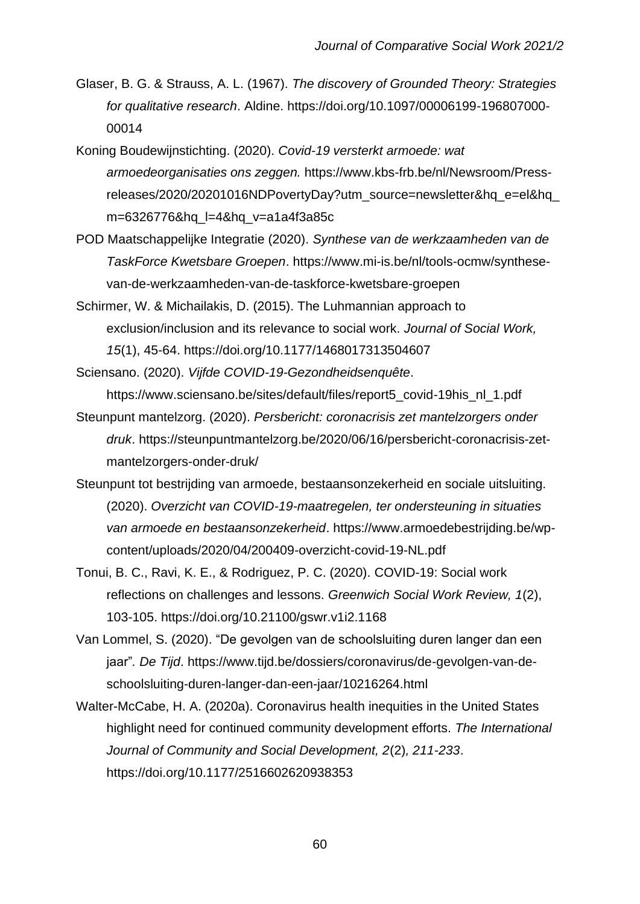- Glaser, B. G. & Strauss, A. L. (1967). *The discovery of Grounded Theory: Strategies for qualitative research*. Aldine. https://doi.org/10.1097/00006199-196807000- 00014
- Koning Boudewijnstichting. (2020). *Covid-19 versterkt armoede: wat armoedeorganisaties ons zeggen.* https://www.kbs-frb.be/nl/Newsroom/Pressreleases/2020/20201016NDPovertyDay?utm\_source=newsletter&hq\_e=el&hq\_ m=6326776&hq\_l=4&hq\_v=a1a4f3a85c
- POD Maatschappelijke Integratie (2020). *Synthese van de werkzaamheden van de TaskForce Kwetsbare Groepen*. https://www.mi-is.be/nl/tools-ocmw/synthesevan-de-werkzaamheden-van-de-taskforce-kwetsbare-groepen
- Schirmer, W. & Michailakis, D. (2015). The Luhmannian approach to exclusion/inclusion and its relevance to social work. *Journal of Social Work, 15*(1), 45-64. https://doi.org/10.1177/1468017313504607
- Sciensano. (2020). *Vijfde COVID-19-Gezondheidsenquête*. https://www.sciensano.be/sites/default/files/report5\_covid-19his\_nl\_1.pdf
- Steunpunt mantelzorg. (2020). *Persbericht: coronacrisis zet mantelzorgers onder druk*. https://steunpuntmantelzorg.be/2020/06/16/persbericht-coronacrisis-zetmantelzorgers-onder-druk/
- Steunpunt tot bestrijding van armoede, bestaansonzekerheid en sociale uitsluiting. (2020). *Overzicht van COVID-19-maatregelen, ter ondersteuning in situaties van armoede en bestaansonzekerheid*. https://www.armoedebestrijding.be/wpcontent/uploads/2020/04/200409-overzicht-covid-19-NL.pdf
- Tonui, B. C., Ravi, K. E., & Rodriguez, P. C. (2020). COVID-19: Social work reflections on challenges and lessons. *Greenwich Social Work Review, 1*(2), 103-105. https://doi.org/10.21100/gswr.v1i2.1168
- Van Lommel, S. (2020). "De gevolgen van de schoolsluiting duren langer dan een jaar"*. De Tijd*. https://www.tijd.be/dossiers/coronavirus/de-gevolgen-van-deschoolsluiting-duren-langer-dan-een-jaar/10216264.html
- Walter-McCabe, H. A. (2020a). Coronavirus health inequities in the United States highlight need for continued community development efforts. *The International Journal of Community and Social Development, 2*(2)*, 211-233*. https://doi.org/10.1177/2516602620938353